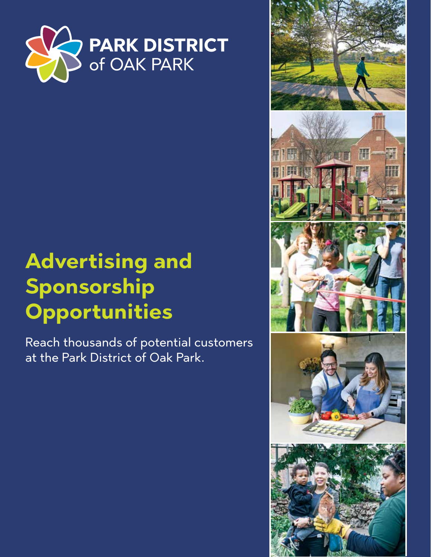

# **Advertising and Sponsorship Opportunities**

Reach thousands of potential customers at the Park District of Oak Park.

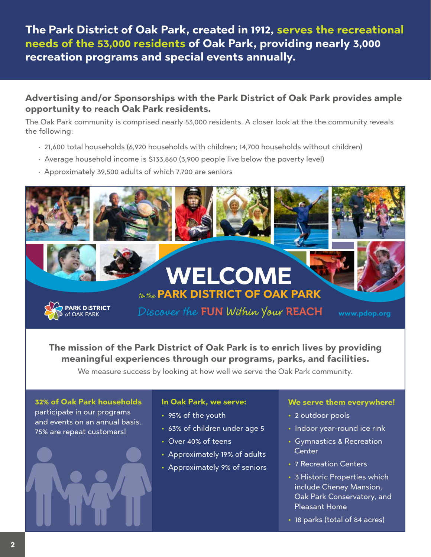**The Park District of Oak Park, created in 1912, serves the recreational needs of the 53,000 residents of Oak Park, providing nearly 3,000 recreation programs and special events annually.** 

### **Advertising and/or Sponsorships with the Park District of Oak Park provides ample opportunity to reach Oak Park residents.**

The Oak Park community is comprised nearly 53,000 residents. A closer look at the the community reveals the following:

- 21,600 total households (6,920 households with children; 14,700 households without children)
- Average household income is \$133,860 (3,900 people live below the poverty level)
- Approximately 39,500 adults of which 7,700 are seniors



**The mission of the Park District of Oak Park is to enrich lives by providing meaningful experiences through our programs, parks, and facilities.** 

We measure success by looking at how well we serve the Oak Park community.

**32% of Oak Park households** participate in our programs and events on an annual basis. 75% are repeat customers!

### **In Oak Park, we serve:**

- **•** 95% of the youth
- **•** 63% of children under age 5
- **•** Over 40% of teens
- **•** Approximately 19% of adults
- **•** Approximately 9% of seniors

### **We serve them everywhere!**

- **•** 2 outdoor pools
- **•** Indoor year-round ice rink
- **•** Gymnastics & Recreation Center
- **•** 7 Recreation Centers
- **•** 3 Historic Properties which include Cheney Mansion, Oak Park Conservatory, and Pleasant Home
- **•** 18 parks (total of 84 acres)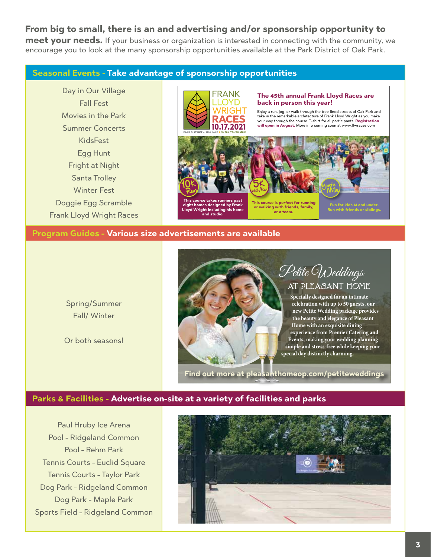## **From big to small, there is an and advertising and/or sponsorship opportunity to**

**meet your needs.** If your business or organization is interested in connecting with the community, we encourage you to look at the many sponsorship opportunities available at the Park District of Oak Park.

#### **Seasonal Events - Take advantage of sponsorship opportunities**

Day in Our Village Fall Fest Movies in the Park Summer Concerts KidsFest Egg Hunt Fright at Night Santa Trolley Winter Fest Doggie Egg Scramble Frank Lloyd Wright Races



**Lloyd Wright including his home and studio.**

#### **The 45th annual Frank Lloyd Races are back in person this year!**

Enjoy a run, jog, or walk through the tree-lined streets of Oak Park and take in the remarkable architecture of Frank Lloyd Wright as you make your way through the course. T-shirt for all participants. **Registration will open in August.** More info coming soon at www.flwra



**or walking with friends, family, or a team.**

**Program Guides - Various size advertisements are available**

Spring/Summer Fall/ Winter

Or both seasons!



# Petite Weddings AT PLEASANT HOME

**Run with friends or siblings.**

**Specially designed for an intimate celebration with up to 50 guests, our new Petite Wedding package provides the beauty and elegance of Pleasant Home with an exquisite dining experience from Premier Catering and Events, making your wedding planning simple and stress-free while keeping your special day distinctly charming.**

**Find out more at pleasanthomeop.com/petiteweddings**

### **Parks & Facilities - Advertise on-site at a variety of facilities and parks**

Paul Hruby Ice Arena Pool - Ridgeland Common Pool - Rehm Park Tennis Courts - Euclid Square Tennis Courts - Taylor Park Dog Park - Ridgeland Common Dog Park - Maple Park Sports Field - Ridgeland Common

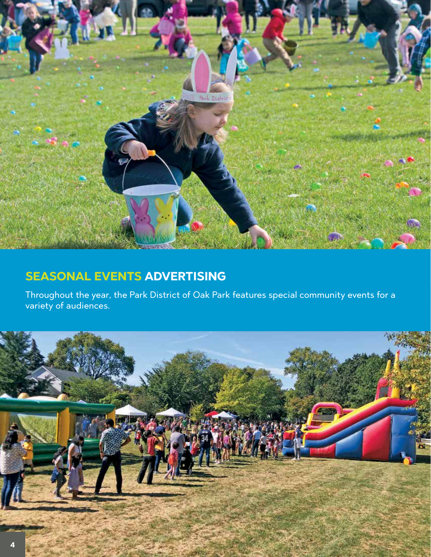

# **SEASONAL EVENTS ADVERTISING**

Throughout the year, the Park District of Oak Park features special community events for a variety of audiences.

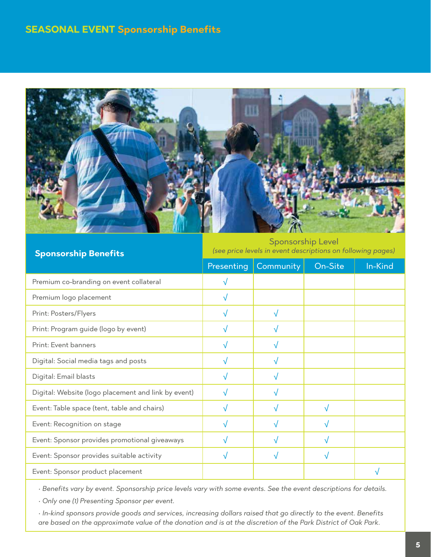# **SEASONAL EVENT Sponsorship Benefits**



Sponsorship Level *(see price levels in event descriptions on following pages)*

| <b>Sponsorship Benefits</b>                         | (see price levels in event descriptions on following pages) |           |         |         |
|-----------------------------------------------------|-------------------------------------------------------------|-----------|---------|---------|
|                                                     | Presenting                                                  | Community | On-Site | In-Kind |
| Premium co-branding on event collateral             | $\sqrt{}$                                                   |           |         |         |
| Premium logo placement                              | √                                                           |           |         |         |
| Print: Posters/Flyers                               | $\sqrt{}$                                                   | √         |         |         |
| Print: Program guide (logo by event)                | v                                                           | V         |         |         |
| Print: Event banners                                | √                                                           | √         |         |         |
| Digital: Social media tags and posts                | $\sqrt{}$                                                   | √         |         |         |
| Digital: Email blasts                               | √                                                           | ν         |         |         |
| Digital: Website (logo placement and link by event) | $\sqrt{}$                                                   | √         |         |         |
| Event: Table space (tent, table and chairs)         | v                                                           |           | √       |         |
| Event: Recognition on stage                         | √                                                           |           | V       |         |
| Event: Sponsor provides promotional giveaways       | √                                                           | √         | √       |         |
| Event: Sponsor provides suitable activity           | √                                                           | ν         | v       |         |
| Event: Sponsor product placement                    |                                                             |           |         | N       |

*• Benefits vary by event. Sponsorship price levels vary with some events. See the event descriptions for details.*

*• Only one (1) Presenting Sponsor per event.*

*• In-kind sponsors provide goods and services, increasing dollars raised that go directly to the event. Benefits are based on the approximate value of the donation and is at the discretion of the Park District of Oak Park.*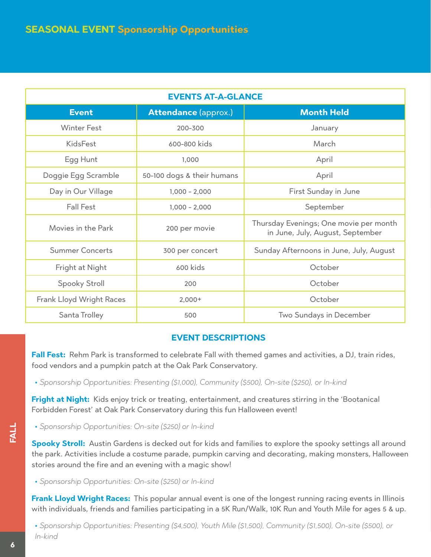| <b>EVENTS AT-A-GLANCE</b> |                             |                                                                            |  |
|---------------------------|-----------------------------|----------------------------------------------------------------------------|--|
| <b>Event</b>              | <b>Attendance (approx.)</b> | <b>Month Held</b>                                                          |  |
| <b>Winter Fest</b>        | 200-300                     | January                                                                    |  |
| <b>KidsFest</b>           | 600-800 kids                | March                                                                      |  |
| Egg Hunt                  | 1,000                       | April                                                                      |  |
| Doggie Egg Scramble       | 50-100 dogs & their humans  | April                                                                      |  |
| Day in Our Village        | $1,000 - 2,000$             | First Sunday in June                                                       |  |
| <b>Fall Fest</b>          | $1,000 - 2,000$             | September                                                                  |  |
| Movies in the Park        | 200 per movie               | Thursday Evenings; One movie per month<br>in June, July, August, September |  |
| <b>Summer Concerts</b>    | 300 per concert             | Sunday Afternoons in June, July, August                                    |  |
| Fright at Night           | 600 kids                    | October                                                                    |  |
| Spooky Stroll             | 200                         | October                                                                    |  |
| Frank Lloyd Wright Races  | $2,000+$                    | October                                                                    |  |
| Santa Trolley             | 500                         | Two Sundays in December                                                    |  |

### **EVENT DESCRIPTIONS**

**Fall Fest:** Rehm Park is transformed to celebrate Fall with themed games and activities, a DJ, train rides, food vendors and a pumpkin patch at the Oak Park Conservatory.

**•** *Sponsorship Opportunities: Presenting (\$1,000), Community (\$500), On-site (\$250), or In-kind*

**Fright at Night:** Kids enjoy trick or treating, entertainment, and creatures stirring in the 'Bootanical Forbidden Forest' at Oak Park Conservatory during this fun Halloween event!

**•** *Sponsorship Opportunities: On-site (\$250) or In-kind*

**Spooky Stroll:** Austin Gardens is decked out for kids and families to explore the spooky settings all around the park. Activities include a costume parade, pumpkin carving and decorating, making monsters, Halloween stories around the fire and an evening with a magic show!

**•** *Sponsorship Opportunities: On-site (\$250) or In-kind*

**Frank Lloyd Wright Races:** This popular annual event is one of the longest running racing events in Illinois with individuals, friends and families participating in a 5K Run/Walk, 10K Run and Youth Mile for ages 5 & up.

**•** *Sponsorship Opportunities: Presenting (\$4,500), Youth Mile (\$1,500), Community (\$1,500), On-site (\$500), or In-kind*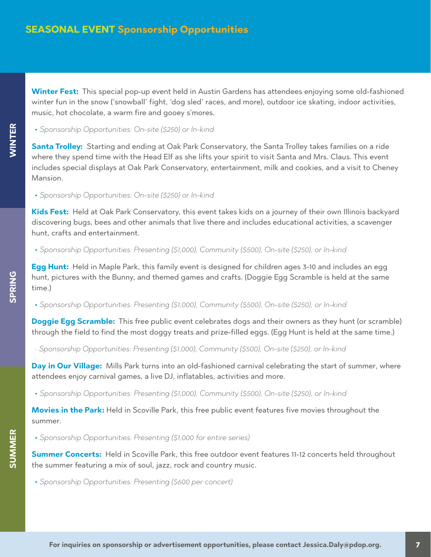**Winter Fest:** This special pop-up event held in Austin Gardens has attendees enjoying some old-fashioned winter fun in the snow ('snowball' fight, 'dog sled' races, and more), outdoor ice skating, indoor activities, music, hot chocolate, a warm fire and gooey s'mores.

**•** *Sponsorship Opportunities: On-site (\$250) or In-kind*

**Santa Trolley:** Starting and ending at Oak Park Conservatory, the Santa Trolley takes families on a ride where they spend time with the Head Elf as she lifts your spirit to visit Santa and Mrs. Claus. This event includes special displays at Oak Park Conservatory, entertainment, milk and cookies, and a visit to Cheney Mansion.

**•** *Sponsorship Opportunities: On-site (\$250) or In-kind*

**Kids Fest:** Held at Oak Park Conservatory, this event takes kids on a journey of their own Illinois backyard discovering bugs, bees and other animals that live there and includes educational activities, a scavenger hunt, crafts and entertainment.

**•** *Sponsorship Opportunities: Presenting (\$1,000), Community (\$500), On-site (\$250), or In-kind*

**Egg Hunt:** Held in Maple Park, this family event is designed for children ages 3-10 and includes an egg hunt, pictures with the Bunny, and themed games and crafts. (Doggie Egg Scramble is held at the same time.)

**•** *Sponsorship Opportunities: Presenting (\$1,000), Community (\$500), On-site (\$250), or In-kind*

**Doggie Egg Scramble:** This free public event celebrates dogs and their owners as they hunt (or scramble) through the field to find the most doggy treats and prize-filled eggs. (Egg Hunt is held at the same time.)

*• Sponsorship Opportunities: Presenting (\$1,000), Community (\$500), On-site (\$250), or In-kind*

**Day in Our Village:** Mills Park turns into an old-fashioned carnival celebrating the start of summer, where attendees enjoy carnival games, a live DJ, inflatables, activities and more.

**•** *Sponsorship Opportunities: Presenting (\$1,000), Community (\$500), On-site (\$250), or In-kind*

**Movies in the Park:** Held in Scoville Park, this free public event features five movies throughout the summer.

**•** *Sponsorship Opportunities: Presenting (\$1,000 for entire series)*

**Summer Concerts:** Held in Scoville Park, this free outdoor event features 11-12 concerts held throughout the summer featuring a mix of soul, jazz, rock and country music.

**•** *Sponsorship Opportunities: Presenting (\$600 per concert)*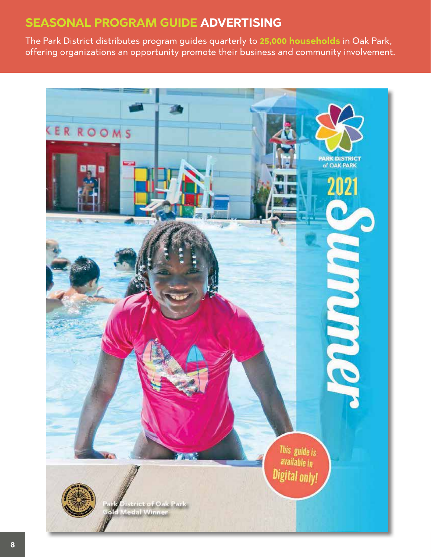# **SEASONAL PROGRAM GUIDE ADVERTISING**

The Park District distributes program guides quarterly to **25,000 households** in Oak Park, offering organizations an opportunity promote their business and community involvement.

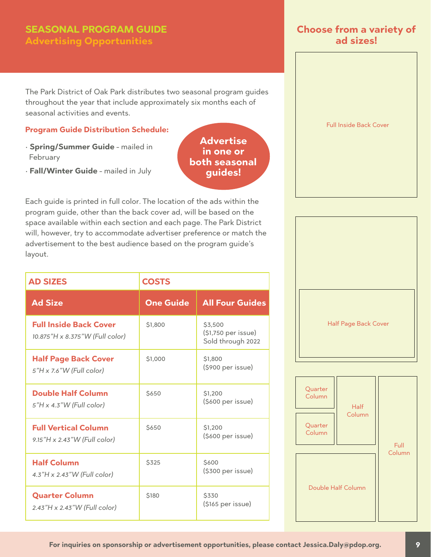# **SEASONAL PROGRAM GUIDE Advertising Opportunities**

The Park District of Oak Park distributes two seasonal program guides throughout the year that include approximately six months each of seasonal activities and events.

### **Program Guide Distribution Schedule:**

- **Spring/Summer Guide** mailed in February
- **Fall/Winter Guide** mailed in July

**Advertise in one or both seasonal guides!**

Each guide is printed in full color. The location of the ads within the program guide, other than the back cover ad, will be based on the space available within each section and each page. The Park District will, however, try to accommodate advertiser preference or match the advertisement to the best audience based on the program guide's layout.

| <b>AD SIZES</b>                                                  | <b>COSTS</b>     |                                                     |
|------------------------------------------------------------------|------------------|-----------------------------------------------------|
| <b>Ad Size</b>                                                   | <b>One Guide</b> | <b>All Four Guides</b>                              |
| <b>Full Inside Back Cover</b><br>10.875"H x 8.375"W (Full color) | \$1,800          | \$3,500<br>(\$1,750 per issue)<br>Sold through 2022 |
| <b>Half Page Back Cover</b><br>5"H x 7.6"W (Full color)          | \$1,000          | \$1,800<br>(\$900 per issue)                        |
| <b>Double Half Column</b><br>$5"H \times 4.3"W$ (Full color)     | <b>\$650</b>     | \$1,200<br>(\$600 per issue)                        |
| <b>Full Vertical Column</b><br>9.15"H x 2.43"W (Full color)      | \$650            | \$1,200<br>$($ \$600 per issue $)$                  |
| <b>Half Column</b><br>$4.3"H \times 2.43"W$ (Full color)         | <b>\$325</b>     | \$600<br>(\$300 per issue)                          |
| <b>Quarter Column</b><br>2.43"H x 2.43"W (Full color)            | <b>\$180</b>     | \$330<br>(\$165 per issue)                          |

### **Choose from a variety of ad sizes!**





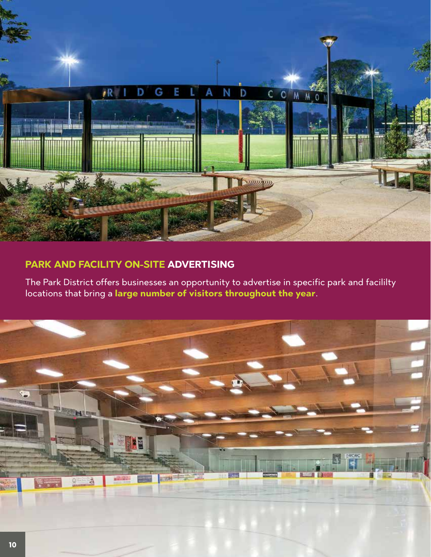

# **PARK AND FACILITY ON-SITE ADVERTISING**

The Park District offers businesses an opportunity to advertise in specific park and facililty locations that bring a **large number of visitors throughout the year**.

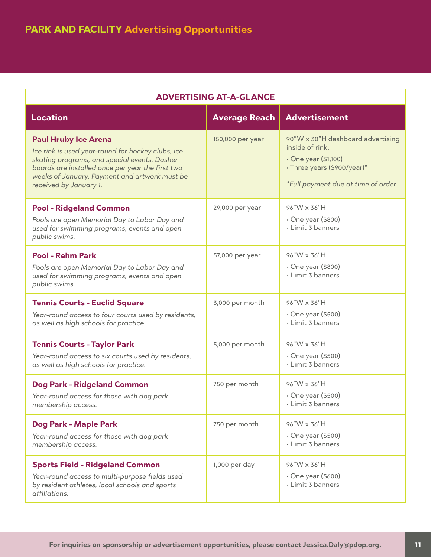| <b>ADVERTISING AT-A-GLANCE</b>                                                                                                                                                                                                                                  |                      |                                                                                                                                                   |  |  |
|-----------------------------------------------------------------------------------------------------------------------------------------------------------------------------------------------------------------------------------------------------------------|----------------------|---------------------------------------------------------------------------------------------------------------------------------------------------|--|--|
| <b>Location</b>                                                                                                                                                                                                                                                 | <b>Average Reach</b> | <b>Advertisement</b>                                                                                                                              |  |  |
| <b>Paul Hruby Ice Arena</b><br>Ice rink is used year-round for hockey clubs, ice<br>skating programs, and special events. Dasher<br>boards are installed once per year the first two<br>weeks of January. Payment and artwork must be<br>received by January 1. | 150,000 per year     | 90"W x 30"H dashboard advertising<br>inside of rink.<br>· One year (\$1,100)<br>· Three years (\$900/year)*<br>*Full payment due at time of order |  |  |
| <b>Pool - Ridgeland Common</b><br>Pools are open Memorial Day to Labor Day and<br>used for swimming programs, events and open<br>public swims.                                                                                                                  | 29,000 per year      | 96"W x 36"H<br>· One year (\$800)<br>· Limit 3 banners                                                                                            |  |  |
| <b>Pool - Rehm Park</b><br>Pools are open Memorial Day to Labor Day and<br>used for swimming programs, events and open<br>public swims.                                                                                                                         | 57,000 per year      | 96"W x 36"H<br>$\cdot$ One year (\$800)<br>· Limit 3 banners                                                                                      |  |  |
| <b>Tennis Courts - Euclid Square</b><br>Year-round access to four courts used by residents,<br>as well as high schools for practice.                                                                                                                            | 3,000 per month      | 96"W x 36"H<br>$\cdot$ One year (\$500)<br>· Limit 3 banners                                                                                      |  |  |
| <b>Tennis Courts - Taylor Park</b><br>Year-round access to six courts used by residents,<br>as well as high schools for practice.                                                                                                                               | 5,000 per month      | 96"W x 36"H<br>$\cdot$ One year (\$500)<br>· Limit 3 banners                                                                                      |  |  |
| <b>Dog Park - Ridgeland Common</b><br>Year-round access for those with dog park<br>membership access.                                                                                                                                                           | 750 per month        | 96"W x 36"H<br>$\cdot$ One year (\$500)<br>· Limit 3 banners                                                                                      |  |  |
| Dog Park - Maple Park<br>Year-round access for those with dog park<br>membership access.                                                                                                                                                                        | 750 per month        | 96"W x 36"H<br>$\cdot$ One year (\$500)<br>· Limit 3 banners                                                                                      |  |  |
| <b>Sports Field - Ridgeland Common</b><br>Year-round access to multi-purpose fields used<br>by resident athletes, local schools and sports<br>affiliations.                                                                                                     | 1,000 per day        | 96"W x 36"H<br>$\cdot$ One year (\$600)<br>· Limit 3 banners                                                                                      |  |  |